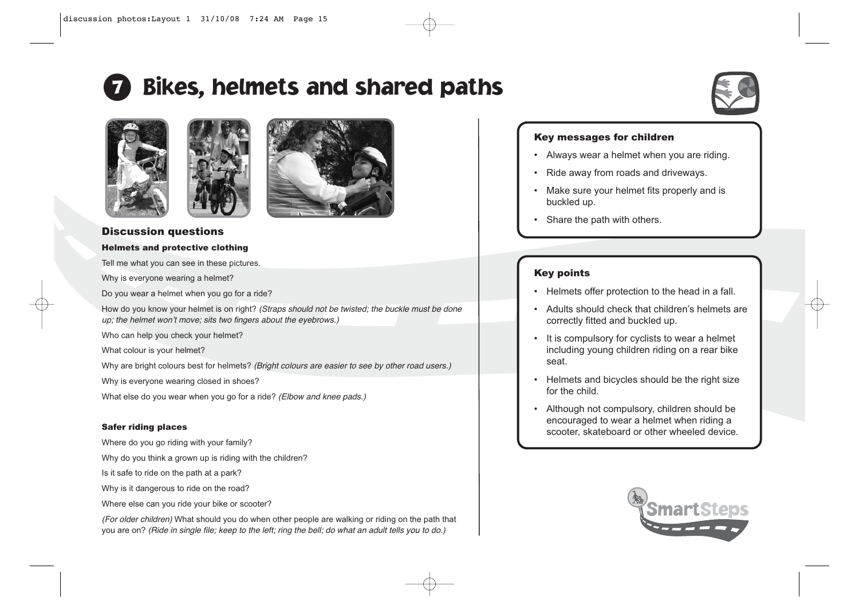# Bikes, helmets and shared paths









# Discussion questions

#### Helmets and protective clothing

Tell me what you can see in these pictures.

Why is everyone wearing a helmet?

Do you wear a helmet when you go for a ride?

How do you know your helmet is on right? (Straps should not be twisted; the buckle must be done up; the helmet won't move; sits two fingers about the eyebrows.)

Who can help you check your helmet?

What colour is your helmet?

Why are bright colours best for helmets? (Bright colours are easier to see by other road users.)

Why is everyone wearing closed in shoes?

What else do you wear when you go for a ride? (Elbow and knee pads.)

#### Safer riding places

Where do you go riding with your family?

Why do you think a grown up is riding with the children?

Is it safe to ride on the path at a park?

Why is it dangerous to ride on the road?

Where else can you ride your bike or scooter?

(For older children) What should you do when other people are walking or riding on the path that you are on? (Ride in single file; keep to the left; ring the bell; do what an adult tells you to do.)

### Key messages for children

- Always wear a helmet when you are riding.
- Ride away from roads and driveways.
- Make sure your helmet fits properly and is buckled up.
- •Share the path with others.

## Key points

- Helmets offer protection to the head in a fall.
- Adults should check that children's helmets are correctly fitted and buckled up.
- It is compulsory for cyclists to wear a helmet including young children riding on a rear bike seat.
- Helmets and bicycles should be the right size for the child.
- Although not compulsory, children should be encouraged to wear a helmet when riding a scooter, skateboard or other wheeled device.